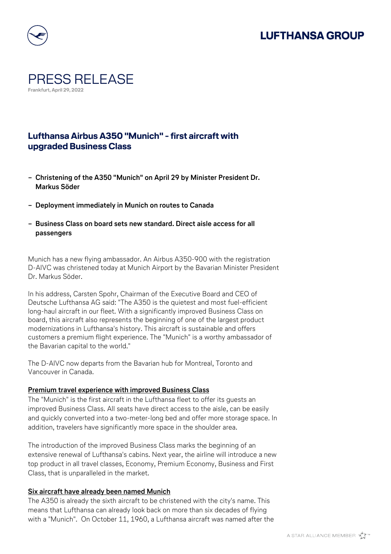# **LUFTHANSA GROUP**



### PRESS RELEASE **Frankfurt, April 29, 2022**

### **Lufthansa Airbus A350 "Munich" - first aircraft with upgraded Business Class**

- **− Christening of the A350 "Munich" on April 29 by Minister President Dr. Markus Söder**
- **− Deployment immediately in Munich on routes to Canada**
- **− Business Class on board sets new standard. Direct aisle access for all passengers**

Munich has a new flying ambassador. An Airbus A350-900 with the registration D-AIVC was christened today at Munich Airport by the Bavarian Minister President Dr. Markus Söder.

In his address, Carsten Spohr, Chairman of the Executive Board and CEO of Deutsche Lufthansa AG said: "The A350 is the quietest and most fuel-efficient long-haul aircraft in our fleet. With a significantly improved Business Class on board, this aircraft also represents the beginning of one of the largest product modernizations in Lufthansa's history. This aircraft is sustainable and offers customers a premium flight experience. The "Munich" is a worthy ambassador of the Bavarian capital to the world."

The D-AIVC now departs from the Bavarian hub for Montreal, Toronto and Vancouver in Canada.

#### **Premium travel experience with improved Business Class**

The "Munich" is the first aircraft in the Lufthansa fleet to offer its guests an improved Business Class. All seats have direct access to the aisle, can be easily and quickly converted into a two-meter-long bed and offer more storage space. In addition, travelers have significantly more space in the shoulder area.

The introduction of the improved Business Class marks the beginning of an extensive renewal of Lufthansa's cabins. Next year, the airline will introduce a new top product in all travel classes, Economy, Premium Economy, Business and First Class, that is unparalleled in the market.

#### **Six aircraft have already been named Munich**

The A350 is already the sixth aircraft to be christened with the city's name. This means that Lufthansa can already look back on more than six decades of flying with a "Munich". On October 11, 1960, a Lufthansa aircraft was named after the